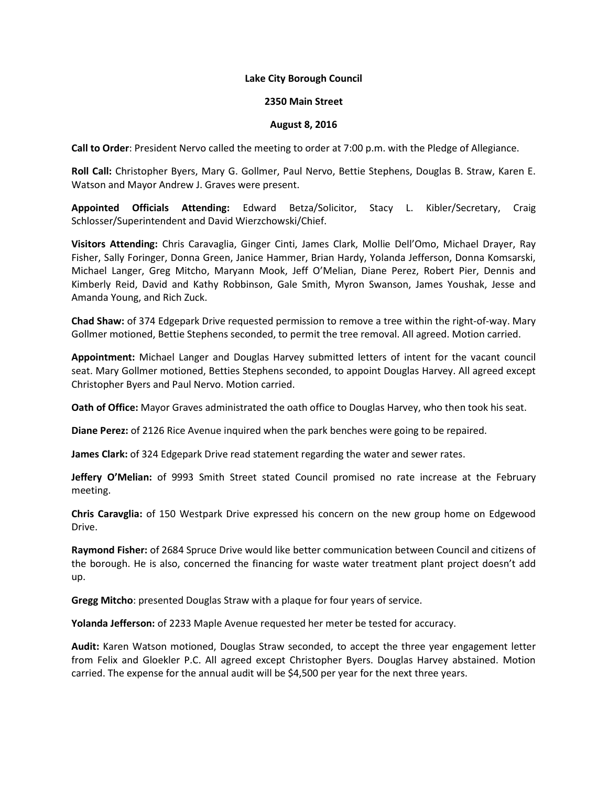## Lake City Borough Council

## 2350 Main Street

## August 8, 2016

Call to Order: President Nervo called the meeting to order at 7:00 p.m. with the Pledge of Allegiance.

Roll Call: Christopher Byers, Mary G. Gollmer, Paul Nervo, Bettie Stephens, Douglas B. Straw, Karen E. Watson and Mayor Andrew J. Graves were present.

Appointed Officials Attending: Edward Betza/Solicitor, Stacy L. Kibler/Secretary, Craig Schlosser/Superintendent and David Wierzchowski/Chief.

Visitors Attending: Chris Caravaglia, Ginger Cinti, James Clark, Mollie Dell'Omo, Michael Drayer, Ray Fisher, Sally Foringer, Donna Green, Janice Hammer, Brian Hardy, Yolanda Jefferson, Donna Komsarski, Michael Langer, Greg Mitcho, Maryann Mook, Jeff O'Melian, Diane Perez, Robert Pier, Dennis and Kimberly Reid, David and Kathy Robbinson, Gale Smith, Myron Swanson, James Youshak, Jesse and Amanda Young, and Rich Zuck.

Chad Shaw: of 374 Edgepark Drive requested permission to remove a tree within the right-of-way. Mary Gollmer motioned, Bettie Stephens seconded, to permit the tree removal. All agreed. Motion carried.

Appointment: Michael Langer and Douglas Harvey submitted letters of intent for the vacant council seat. Mary Gollmer motioned, Betties Stephens seconded, to appoint Douglas Harvey. All agreed except Christopher Byers and Paul Nervo. Motion carried.

Oath of Office: Mayor Graves administrated the oath office to Douglas Harvey, who then took his seat.

Diane Perez: of 2126 Rice Avenue inquired when the park benches were going to be repaired.

James Clark: of 324 Edgepark Drive read statement regarding the water and sewer rates.

Jeffery O'Melian: of 9993 Smith Street stated Council promised no rate increase at the February meeting.

Chris Caravglia: of 150 Westpark Drive expressed his concern on the new group home on Edgewood Drive.

Raymond Fisher: of 2684 Spruce Drive would like better communication between Council and citizens of the borough. He is also, concerned the financing for waste water treatment plant project doesn't add up.

Gregg Mitcho: presented Douglas Straw with a plaque for four years of service.

Yolanda Jefferson: of 2233 Maple Avenue requested her meter be tested for accuracy.

Audit: Karen Watson motioned, Douglas Straw seconded, to accept the three year engagement letter from Felix and Gloekler P.C. All agreed except Christopher Byers. Douglas Harvey abstained. Motion carried. The expense for the annual audit will be \$4,500 per year for the next three years.